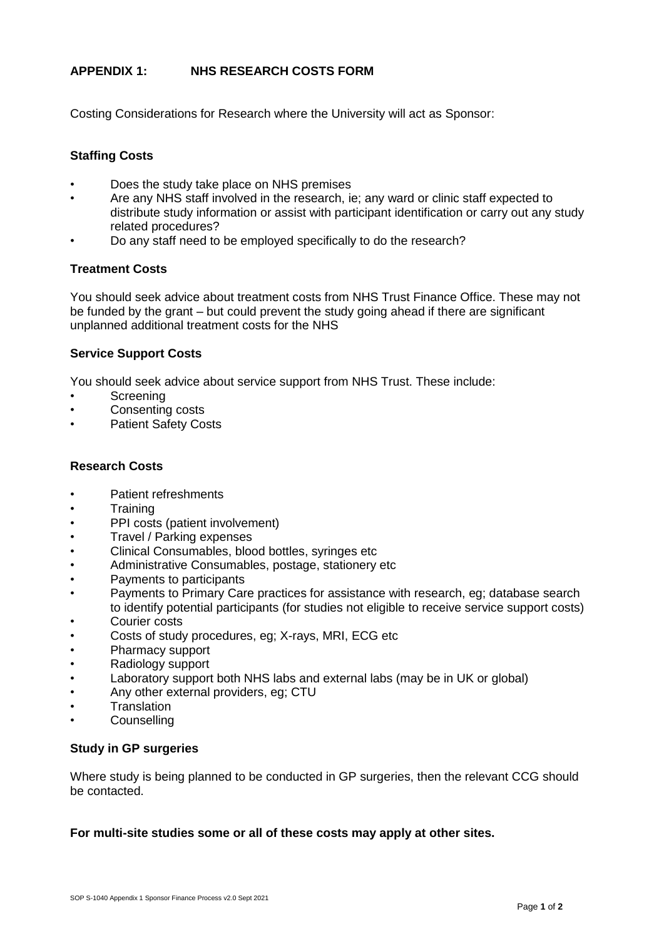# **APPENDIX 1: NHS RESEARCH COSTS FORM**

Costing Considerations for Research where the University will act as Sponsor:

# **Staffing Costs**

- Does the study take place on NHS premises
- Are any NHS staff involved in the research, ie; any ward or clinic staff expected to distribute study information or assist with participant identification or carry out any study related procedures?
- Do any staff need to be employed specifically to do the research?

## **Treatment Costs**

You should seek advice about treatment costs from NHS Trust Finance Office. These may not be funded by the grant – but could prevent the study going ahead if there are significant unplanned additional treatment costs for the NHS

## **Service Support Costs**

You should seek advice about service support from NHS Trust. These include:

- Screening
- Consenting costs
- Patient Safety Costs

## **Research Costs**

- Patient refreshments
- Training
- PPI costs (patient involvement)
- Travel / Parking expenses
- Clinical Consumables, blood bottles, syringes etc
- Administrative Consumables, postage, stationery etc
- Payments to participants
- Payments to Primary Care practices for assistance with research, eg; database search to identify potential participants (for studies not eligible to receive service support costs)
- Courier costs
- Costs of study procedures, eg; X-rays, MRI, ECG etc
- Pharmacy support
- Radiology support
- Laboratory support both NHS labs and external labs (may be in UK or global)
- Any other external providers, eg; CTU
- **Translation**
- **Counselling**

### **Study in GP surgeries**

Where study is being planned to be conducted in GP surgeries, then the relevant CCG should be contacted.

### **For multi-site studies some or all of these costs may apply at other sites.**